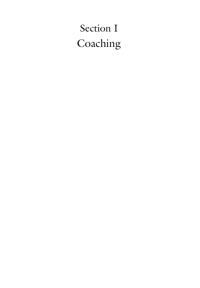# Coaching Section I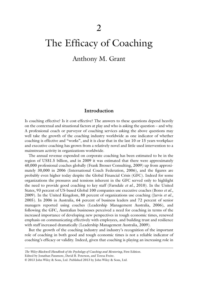# The Efficacy of Coaching

Anthony M. Grant

### **Introduction**

Is coaching effective? Is it cost-effective? The answers to these questions depend heavily on the contextual and situational factors at play and who is asking the question – and why. A professional coach or purveyor of coaching services asking the above questions may well take the growth of the coaching industry worldwide as one indicator of whether coaching is effective and "works", and it is clear that in the last 10 or 15 years workplace and executive coaching has grown from a relatively novel and little used intervention to a mainstream activity in organizations worldwide.

The annual revenue expended on corporate coaching has been estimated to be in the region of US\$1.5 billion, and in 2009 it was estimated that there were approximately 40,000 professional coaches globally (Frank Bresser Consulting, 2009) up from approximately 30,000 in 2006 (International Coach Federation, 2006), and the figures are probably even higher today despite the Global Financial Crisis (GFC). Indeed for some organizations the pressures and tensions inherent in the GFC served only to highlight the need to provide good coaching to key staff (Farndale *et al*., 2010 ). In the United States, 93 percent of US-based Global 100 companies use executive coaches (Bono *et al*., 2009 ). In the United Kingdom, 88 percent of organizations use coaching (Jarvis *et al*., 2005 ). In 2006 in Australia, 64 percent of business leaders and 72 percent of senior managers reported using coaches (Leadership Management Australia, 2006), and following the GFC, Australian businesses perceived a need for coaching in terms of the increased importance of developing new perspectives in tough economic times, renewed emphasis on communicating effectively with employees, and building trust and resilience with staff increased dramatically (Leadership Management Australia, 2009 ).

But the growth of the coaching industry and industry's recognition of the important role of coaching in both good and tough economic times is not a reliable indicator of coaching's efficacy or validity. Indeed, given that coaching is playing an increasing role in

Edited by Jonathan Passmore, David B. Peterson, and Teresa Freire.

*The Wiley-Blackwell Handbook of the Psychology of Coaching and Mentoring*, First Edition.

<sup>© 2013</sup> John Wiley & Sons, Ltd. Published 2013 by John Wiley & Sons, Ltd.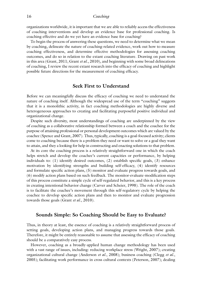organizations worldwide, it is important that we are able to reliably access the effectiveness of coaching interventions and develop an evidence base for professional coaching. Is coaching effective and do we yet have an evidence base for coaching?

To begin the process of answering these questions, we need to determine what we mean by coaching, delineate the nature of coaching-related evidence, work out how to measure coaching effectiveness, and determine effective methodologies for assessing coaching outcomes, and do so in relation to the extant coaching literature. Drawing on past work in this area (Grant, 2011; Grant *et al.*, 2010), and beginning with some broad delineations of coaching, I review the recent extant research into the efficacy of coaching and highlight possible future directions for the measurement of coaching efficacy.

#### **Seek First to Understand**

Before we can meaningfully discuss the efficacy of coaching we need to understand the nature of coaching itself. Although the widespread use of the term "coaching" suggests that it is a monolithic activity, in fact coaching methodologies are highly diverse and heterogeneous approaches to creating and facilitating purposeful positive individual and organizational change.

Despite such diversity, most understandings of coaching are underpinned by the view of coaching as a collaborative relationship formed between a coach and the coachee for the purpose of attaining professional or personal development outcomes which are valued by the coachee (Spence and Grant, 2007 ). Thus, typically, coaching is a goal-focused activity; clients come to coaching because there is a problem they need or want to solve or a goal they want to attain, and they a looking for help in constructing and enacting solutions to that problem.

At its core the coaching process is a relatively straightforward one in which the coach helps stretch and develop the coachee's current capacities or performance, by helping individuals to: (1) identify desired outcomes, (2) establish specific goals, (3) enhance motivation by identifying strengths and building self-efficacy, (4) identify resources and formulate specific action plans, (5) monitor and evaluate progress towards goals, and (6) modify action plans based on such feedback. The monitor-evaluate-modification steps of this process constitute a simple cycle of self-regulated behavior, and this is a key process in creating intentional behavior change (Carver and Scheier, 1998 ). The role of the coach is to facilitate the coachee's movement through this self-regulatory cycle by helping the coachee to develop specific action plans and then to monitor and evaluate progression towards those goals (Grant *et al.*, 2010).

#### **Sounds Simple: So Coaching Should be Easy to Evaluate?**

Thus, in theory at least, the essence of coaching is a relatively straightforward process of setting goals, developing action plans, and managing progress towards those goals. Therefore, it might be entirely reasonable to assume that assessing the efficacy of coaching should be a comparatively easy process.

However, coaching as a broadly-applied human change methodology has been used with a vast range of issues, including: reducing workplace stress (Wright, 2007); creating organizational cultural change (Anderson *et al*., 2008 ); business coaching (Clegg *et al*., 2005 ); facilitating work performance in cross cultural contexts (Peterson, 2007 ); dealing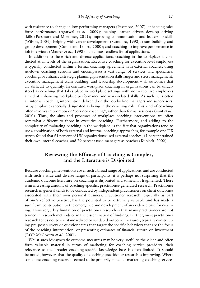with resistance to change in low-performing managers (Passmore, 2007); enhancing sales force performance (Agarwal *et al*., 2009 ); helping learner drivers develop driving skills (Passmore and Mortimer, 2011 ); improving communication and leadership skills (Wilson, 2004 ); helping with career development (Scandura, 1992 ); team building and group development (Cunha and Louro, 2000); and coaching to improve performance in job interviews (Maurer *et al*., 1998 ) – an almost endless list of applications.

In addition to these rich and diverse applications, coaching in the workplace is conducted at all levels of the organization. Executive coaching for executive level employees is typically conducted within a formal coaching agreement with external coaches, using sit-down coaching sessions and encompasses a vast range of services and specialties: coaching for enhanced strategic planning; presentation skills; anger and stress management; executive management team building; and leadership development – all outcomes that are difficult to quantify. In contrast, workplace coaching in organizations can be understood as coaching that takes place in workplace settings with non-executive employees aimed at enhancing workplace performance and work-related skills. As such, it is often an internal coaching intervention delivered on the job by line managers and supervisors, or by employees specially designated as being in the coaching role. This kind of coaching often involves impromptu or "corridor coaching", rather than formal sessions (Grant *et al*., 2010). Thus, the aims and processes of workplace coaching interventions are often somewhat different to those in executive coaching. Furthermore, and adding to the complexity of evaluating coaching in the workplace, is the fact that organizations tend to use a combination of both external and internal coaching approaches, for example one UK survey found that 51 percent of UK organizations used external coaches, 41 percent trained their own internal coaches, and 79 percent used managers as coaches (Kubicek, 2002 ).

# **Reviewing the Efficacy of Coaching is Complex, and the Literature is Disjointed**

Because coaching interventions cover such a broad range of applications, and are conducted with such a wide and diverse range of participants, it is perhaps not surprising that the academic outcome literature on coaching is disjointed and somewhat fragmented. There is an increasing amount of coaching-specific, practitioner-generated research. Practitioner research in general tends to be conducted by independent practitioners on client outcomes associated with their own personal business. Practitioner research, especially as part of one's reflective practice, has the potential to be extremely valuable and has made a significant contribution to the emergence and development of an evidence base for coaching. However, a key limitation of practitioner research is that many practitioners are not trained in research methods or in the dissemination of findings. Further, most practitioner research tends not to use standardized or validated outcome measures, typically constructing pre-post surveys or questionnaires that target the specific behaviors that are the focus of the coaching intervention, or presenting estimates of financial return on investment (ROI: McGovern *et al*., 2001 ).

Whilst such idiosyncratic outcome measures may be very useful to the client and often form valuable material in terms of marketing for coaching service providers, their relevance to the broader coaching-specific knowledge base is often limited. It should be noted, however, that the quality of coaching practitioner research is improving. Where some past coaching research seemed to be primarily aimed at marketing coaching services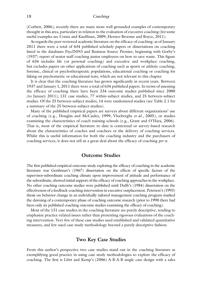(Corbett, 2006), recently there are many more well-grounded examples of contemporary thought in this area, particulary in relation to the evaluation of executive coaching (for some useful examples see Coutu and Kauffman, 2009; Hernez-Broome and Boyce, 2011).

As regards the peer-reviewed academic literature on the efficacy of coaching: as of January 2011 there were a total of 634 published scholarly papers or dissertations on coaching listed in the databases PsycINFO and Business Source Premier, beginning with Gorby's ( 1937 ) report of senior staff coaching junior employees on how to save waste. This figure of 634 includes life (or personal coaching) and executive and workplace coaching, but excludes papers on other applications of coaching such as sports or athletic coaching, forensic, clinical or psychotherapeutic populations, educational coaching or coaching for faking on psychometric or educational tests, which are not relevant to this chapter.

It is clear that the coaching literature has grown significantly in recent years. Between 1937 and January 1, 2011 there were a total of 634 published papers. In terms of assessing the efficacy of coaching there have been 234 outcome studies published since 2000 (to January 2011); 131 case studies, 77 within-subject studies, and 25 between-subject studies. Of the 25 between-subject studies, 14 were randomized studies (see Table 2.1 for a summary of the 25 between-subject studies).

Many of the published empirical papers are surveys about different organizations' use of coaching (e.g., Douglas and McCauley, 1999 ; Vloeberghs *et al*., 2005 ), or studies examining the characteristics of coach training schools (e.g., Grant and O'Hara, 2006). That is, most of the empirical literature to date is contextual or survey-based research about the characteristics of coaches and coachees or the delivery of coaching services. Whilst this is useful information for both the coaching industry and the purchasers of coaching services, it does not tell us a great deal about the efficacy of coaching *per se*.

#### **Outcome Studies**

The first published empirical outcome study exploring the efficacy of coaching in the academic literature was Gershman's ( 1967 ) dissertation on the effects of specific factors of the supervisor-subordinate coaching climate upon improvement of attitude and performance of the subordinate, showed initial support of the efficacy of coaching approaches in the workplace. No other coaching outcome studies were published until Duffy's ( 1984 ) dissertation on the effectiveness of a feedback-coaching intervention in executive outplacement. Peterson's ( 1993 ) thesis on behavior change in an individually tailored management coaching program marked the dawning of a contemporary phase of coaching outcome research (prior to 1990 there had been only six published coaching outcome studies examining the efficacy of coaching).

Most of the 131 case studies in the coaching literature are purely descriptive, tending to emphasize practice-related issues rather than presenting rigorous evaluations of the coaching intervention. Very few of these case studies used established and validated quantitative measures, and few used case study methodology beyond a purely descriptive fashion.

#### **Two Key Case Studies**

From this author's perspective two case studies stand out in the coaching literature as exemplifying good practice in using case study methodologies to explore the efficacy of coaching. The first is Libri and Kemp's ( 2006 ) A-B-A-B single case design with a sales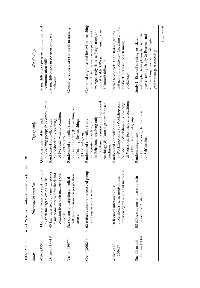| $1.401C \neq 1.$              |                                                                                                                              |                                                                                                                                                                                              |                                                                                                                                                                                                        |
|-------------------------------|------------------------------------------------------------------------------------------------------------------------------|----------------------------------------------------------------------------------------------------------------------------------------------------------------------------------------------|--------------------------------------------------------------------------------------------------------------------------------------------------------------------------------------------------------|
| Study                         | Intervention overview                                                                                                        | Type of study                                                                                                                                                                                | Key findings                                                                                                                                                                                           |
| Miller (1990)                 | 33 employees. Some received coaching<br>by their managers over 4 weeks.                                                      | (a) Coaching group; (b) Control group.<br>Quasi-experimental field study                                                                                                                     | No sig. differences pre-post for interpersonal<br>communication skills.                                                                                                                                |
| Deviney (1994)*               | 45 line supervisors at a nuclear power<br>coaching from their managers over<br>plant. Some received feedback and<br>9 weeks. | (b) Feedback with no coaching,<br>(a) Feedback plus coaching,<br>Randomized controlled study<br>(c) Control group.                                                                           | No sig. differences in pre-post feedback<br>behavior.                                                                                                                                                  |
| Taylor (1997)*                | college admission test preparation<br>undergoing a medical<br>Participants<br>course.                                        | (a) Training only; (b) Coaching only;<br>Randomized controlled study<br>(c) Training plus coaching;<br>(d) Control group.                                                                    | Coaching reduced stress more than training.                                                                                                                                                            |
| Grant (2002)*                 | 62 trainee accountants received group<br>coaching over one semester.                                                         | (c) Combined cognitive and behavioral<br>coaching; (d) Control groups for each<br>(b) Behavioral coaching only;<br>(a) Cognitive coaching only;<br>Randomized controlled study<br>condition. | Combined cognitive and behavioral coaching<br>average, study skills, self-regulation, and<br>mental health. GPA gains maintained in<br>most effective in increasing grade point<br>12 month follow-up. |
| Miller et al.<br>$(2004)*$    | interviewing via a range of methods.<br>professionals learnt motivational<br>substance abuse<br>140 licensed                 | (d) Workshop, feedback, and coaching;<br>(a) Workshop only; (b) Workshop plus<br>feedback; (c) Workshop plus coaching;<br>or (e) Waitlist control group.<br>Randomized controlled study      | had gains in proficiency. Coaching and/or<br>Relative to controls, the 4 trained groups<br>feedback increased post-training<br>proficiency.                                                            |
| Latham (2004)<br>Sue-Chan and | 53 MBA students in two studies in<br>Canada and Australia.                                                                   | (a) External coach; (b) Peer coach or<br>Random assignment<br>(c) Self-coached.                                                                                                              | with higher team playing behavior than<br>peer coaching; Study 2: External and<br>self coaching associated with higher<br>Study 1: External coaching associated<br>grades than peer coaching.          |
|                               |                                                                                                                              |                                                                                                                                                                                              | $\sum_{i=1}^{n}$                                                                                                                                                                                       |

**Table 2.1** Summary of 25 between-subjects studies to January 1, 2011. Table 2.1 Summary of 25 between-subjects studies to January 1 2011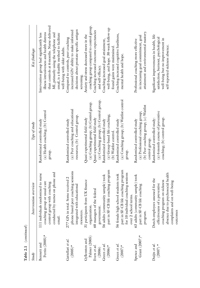Table 2.1 (continued) **Table 2.1** (*continued*)

| Study                                                                    | Intervention overview                                                                                                                                                               | Type of study                                                                                                                                                                       | Key findings                                                                                                                                                                                                                                                |
|--------------------------------------------------------------------------|-------------------------------------------------------------------------------------------------------------------------------------------------------------------------------------|-------------------------------------------------------------------------------------------------------------------------------------------------------------------------------------|-------------------------------------------------------------------------------------------------------------------------------------------------------------------------------------------------------------------------------------------------------------|
| Perrin (2005)*<br>Bennett and                                            | conducted by nurses on phone and<br>111 individuals randomized to nurse<br>coaching group or usual-care<br>control group with coaching<br>email.                                    | (a) Health coaching; (b) Control<br>Randomized controlled study<br>group.                                                                                                           | than controls at 6 months. Nurse-delivered<br>illness intrusiveness and health distress<br>MI, primarily using the telephone and<br>email, is a feasible method to facilitate<br>Intervention group had significantly less<br>well-being with older adults. |
| Gattellari et al.<br>$(2005)*$                                           | phone-based peer coaching sessions<br>277 GPs in total. Some received 2<br>integrated with educational<br>resources.                                                                | (a) Peer coaching and educational<br>resources; (b) Control group.<br>Randomized controlled study                                                                                   | decisions about prostate-specific antigen<br>increased GPs' ability to make informed<br>Compared to controls, peer coaching<br>screening.                                                                                                                   |
| Palmer (2005)<br>Gyllensten and<br>Green et al<br>Evers et al.<br>(2006) | 56 adults (community sample) took<br>31 participants from UK finance<br>60 managers of the federal<br>government.<br>organization.                                                  | (a) Coaching group; (b) Control group.<br>(a) Coaching group; (b) Control group.<br>Quasi-experimental field study<br>Quasi-experimental field study<br>Randomized controlled study | coaching group compared to control group.<br>Coaching increased outcome expectancies<br>Anxiety and stress decreased more in the<br>Coaching increased goal attainment,<br>and self-efficacy.                                                               |
| Green et al.<br>$(2006)*$<br>$(2007)^*$                                  | part in SF-CB life coaching program<br>part in SF-CB life coaching program<br>for 10 individual coaching sessions<br>56 female high school students took<br>over 2 school terms.    | (a) Coaching group; (b) Waitlist control<br>(a) Group-based life coaching;<br>Randomized controlled study<br>(b) Waitlist control.<br>group.                                        | well-being, and hope. 30-week follow-up<br>Coaching increased cognitive hardiness,<br>found gains were maintained<br>mental health and hope.                                                                                                                |
| Grant (2007)*<br>Spence and                                              | 63 adults (community sample) took<br>part in SF-CB life coaching<br>program.                                                                                                        | (b) Peer coaching group; (c) Waitlist<br>(a) Professional coaching group;<br>Randomized controlled study<br>control group.                                                          | attainment and environmental mastery.<br>in increasing goal commitment, goal<br>Professional coaching more effective                                                                                                                                        |
| Duijts et al.<br>(2007) *                                                | absence due to psychosocial health<br>Dutch employees assessed for the<br>coaching program on sickness<br>complaints and on well-being<br>effectiveness of a preventive<br>outcomes | (a) 6 month course of preventive<br>coaching; (b) control group.<br>Randomized controlled study:                                                                                    | Significant improvements in health, life<br>satisfaction, burnout, psychological<br>well-being but no improvement in<br>self-reported sickness absence.                                                                                                     |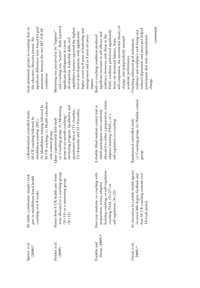| significant differences were found for goal<br>Goal attainment greater in coaching than in<br>attainment between the two MT/CB-SF<br>the educative/directive format. No<br>conditions.             | and coaching was "action". Both reported<br>capabilities; mentees reported the highest<br>higher scores in 8 areas of leadership and<br>Mentoring was perceived to be "support"<br>level of development, with significantly<br>management and in 3 areas of career<br>development, leadership skills, and<br>significant development in career<br>impact. | self-compassion, the incremental theory of<br>PAAL condition performed significantly<br>significant increases in self-efficacy and<br>resilience; however, only those in the<br>Both co-coaching conditions produced<br>change, and independently assessed<br>better on decisional balance, hope,<br>academic performance. | $_{(continued)}$<br>reduced depression and stress and helped<br>resilience and workplace well-being and<br>participants deal with organizational<br>Coaching enhanced goal attainment,<br>change. |
|----------------------------------------------------------------------------------------------------------------------------------------------------------------------------------------------------|-----------------------------------------------------------------------------------------------------------------------------------------------------------------------------------------------------------------------------------------------------------------------------------------------------------------------------------------------------------|----------------------------------------------------------------------------------------------------------------------------------------------------------------------------------------------------------------------------------------------------------------------------------------------------------------------------|---------------------------------------------------------------------------------------------------------------------------------------------------------------------------------------------------|
| SF-CB coaching; (c) Health education<br>(b) Mindfulness training followed by<br>(a)Randomized controlled study:<br>SF-CB coaching followed by<br>mindfulness training (MT);<br>only control group. | mentoring program. Qualitative and<br>(a) Coaching group; (b) Mentoring<br>$T2 = 4$ months and $T3 = 9$ months).<br>quantitative data at (T1 = baseline,<br>group in six-month coaching/<br>Quasi-experimental field study                                                                                                                                | allocated to either a preparation, action,<br>A double-blind random control trial in<br>which participants were randomly<br>adaptive learning (PAAL), or a<br>self-regulation co-coaching.                                                                                                                                 | (a) Coaching group; (b) Waitlist control<br>Randomized controlled study<br>group.                                                                                                                 |
| 45 adults (community sample) took<br>part in mindfulness-based health<br>coaching over 8 weeks.                                                                                                    | were allocated to a coaching group<br>( $N=15$ ) or a mentoring group<br>UK health care trusts<br>Nurses from 6<br>$(N=15)$ .                                                                                                                                                                                                                             | learning coaching, or self-regulation<br>First-year students: co-coaching with<br>preparation, action, adaptive<br>coaching PAAL (N=27) or<br>self-regulation (N=25)                                                                                                                                                       | 41 executives in a public health agency<br>received 360-degree feedback and<br>four SF-CB coaching sessions over<br>10-week period.                                                               |
| Spence et al.<br>$(2008)*{}$                                                                                                                                                                       | Fielden et al.<br>(2009)                                                                                                                                                                                                                                                                                                                                  | Doran (2009)*<br>Franklin and                                                                                                                                                                                                                                                                                              | (Grant $et$ $al$ ,<br>$2009)*$                                                                                                                                                                    |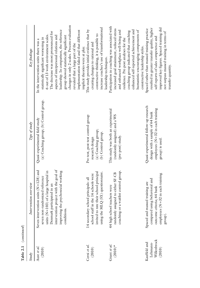| Table 2.1 (continued)                             |                                                                                                                                                                                                                                                  |                                                                                                                                   |                                                                                                                                                                                                                                                                                                                                                                                                                                                                     |
|---------------------------------------------------|--------------------------------------------------------------------------------------------------------------------------------------------------------------------------------------------------------------------------------------------------|-----------------------------------------------------------------------------------------------------------------------------------|---------------------------------------------------------------------------------------------------------------------------------------------------------------------------------------------------------------------------------------------------------------------------------------------------------------------------------------------------------------------------------------------------------------------------------------------------------------------|
| Study                                             | Intervention overview                                                                                                                                                                                                                            | Type of study                                                                                                                     | Key findings                                                                                                                                                                                                                                                                                                                                                                                                                                                        |
| Aust et al.<br>(2010)                             | intervention project with the goal of<br>Seven intervention units $(N=128)$ and<br>improving the psychosocial working<br>units ( $N=103$ ) of a large hospital in<br>seven non-randomized reference<br>Denmark participated in an<br>conditions. | (a) Coaching group; (b) Control group.<br>Quasi-experimental field study                                                          | changes in only 2 scales. Process evaluation<br>leadership. In comparison, the reference<br>implementation failed and that different<br>The decrease was most pronounced for<br>6 out of 13 work environment scales.<br>aspects of interpersonal relations and<br>group showed statistically significant<br>statistically significant worsening in<br>In the intervention units there was a<br>revealed that a large part of the<br>implicit theories were at play. |
| Cerni et al.<br>(2010)                            | using the MLQ (5X) questionnaire.<br>invited to rate their school principal<br>school staff in the 14 schools were<br>14 secondary school principals: all                                                                                        | Pre-test, post-test control-group<br>(a) Coaching group;<br>(b) Control group.<br>research design                                 | increase coachee's use of transformational<br>This study provides initial evidence that by<br>constructive thinking, it is possible to<br>creating changes to rational and<br>leadership techniques.                                                                                                                                                                                                                                                                |
| Grant et al.<br>$(2010)*$                         | coaching or a waitlist control group.<br>randomly assigned to either SF-CB<br>44 high school teachers were                                                                                                                                       | This study was both an experimental<br>(randomly assigned) and a WS<br>(pre-post) study.                                          | Participation in coaching was associated with<br>increased goal attainment, reduced stress<br>enhanced self-reported achievement and<br>and enhanced workplace well-being and<br>humanistic-encouraging components of<br>coaching group indicated that coaching<br>resilience. Pre-post analyses for the<br>constructive leadership styles.                                                                                                                         |
| Willenbrock<br>Kauffeld and<br>Lehmann-<br>(2010) | $employees (N=32 in each training)$<br>using behavioral and<br>Spaced and massed training are<br>outcome criteria; 64 bank<br>compared<br>group).                                                                                                | Quasi-experimental follow-up research<br>$employees (N=32$ in each training<br>design with a sample of 64 bank<br>group) is used. | improved key figures. Spaced training did<br>resulted in greater transfer quality, higher<br>Spaced rather than massed training practice<br>not surpass massed training in terms of<br>self-reports of sales competence and<br>transfer quantity.                                                                                                                                                                                                                   |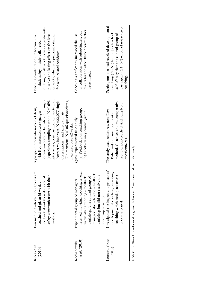| Kines et al<br>(2010) | 2 intervention groups are<br>Foremen in                               | A pre-post intervention-control design<br>with 5 construction work gangs: | Coaching construction site foremen to<br>include safety in their daily verbal |
|-----------------------|-----------------------------------------------------------------------|---------------------------------------------------------------------------|-------------------------------------------------------------------------------|
|                       | coached and given bi-weekly<br>feedback about their daily verbal      | foremen-worker verbal safety exchanges                                    | exchanges with workers has a significantly                                    |
|                       | safety communications with their                                      | (experience sampling method, $N=1693$                                     | positive and lasting effect on the level                                      |
|                       | workers.                                                              | interviews), construction site safety level                               | of safety, which is a proximal estimate                                       |
|                       |                                                                       | (correct vs. incorrect, $N = 22,077$ single                               | for work-related accidents.                                                   |
|                       |                                                                       | observations), and safety climate                                         |                                                                               |
|                       |                                                                       | $(7$ dimensions, $N=105$ questionnaires),                                 |                                                                               |
|                       |                                                                       | measured over 42 weeks.                                                   |                                                                               |
| Kochanowski           | Experimental group of managers                                        | Quasi-experimental field study                                            | Coaching significantly increased the use                                      |
| $eta$ (2010)          | received individual coaching several                                  | (a) Feedback plus coaching group;                                         | of collaboration with subordinates, but                                       |
|                       | weeks after attending a feedback                                      | (b) Feedback only control group.                                          | results for the other three "core" tactics                                    |
|                       | workshop. The control group of                                        |                                                                           | were mixed.                                                                   |
|                       |                                                                       |                                                                           |                                                                               |
|                       | managers also attended a feedback<br>workshop but did not receive the |                                                                           |                                                                               |
|                       |                                                                       |                                                                           |                                                                               |
| Leonard-Cross         | follow-up coaching.<br>Investigated the impact and process of         | The study used action research (Lewin,                                    | Participants that had received developmental                                  |
| (2010)                | developmental coaching evaluating                                     | 1946) and a quasi-experimental                                            | coaching ( $N = 61$ ) had higher levels of                                    |
|                       | coaching which took place over a                                      | method. Coachees and the comparative                                      | self-efficacy than the control group of                                       |
|                       | two-year period.                                                      | group of non-coached staff completed                                      | participants (N=57) who had not received                                      |
|                       |                                                                       | questionnaires.                                                           | coaching.                                                                     |
|                       |                                                                       |                                                                           |                                                                               |

Notes: SF-CB=solution-focused cognitive behavioral; \*=randomized controlled study. Notes: SF-CB = solution-focused cognitive behavioral; \* = randomized controlled study.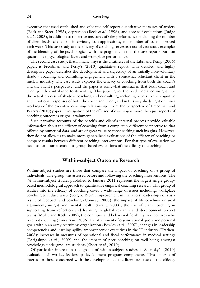executive that used established and validated self-report quantitative measures of anxiety (Beck and Steer, 1993 ), depression (Beck *et al*., 1996 ), and core self-evaluations (Judge *et al*., 2003 ), in addition to objective measures of sales performance, including the number of client leads, client loan interviews, loan applications, and number of loans approved each week. This case study of the efficacy of coaching serves as a useful case study exemplar of the blending of the psychological with the pragmatic in that the case reports both on quantitative psychological facets and workplace performance.

The second case study, that in many ways is the antitheses of the Libri and Kemp ( 2006 ) paper, is Freedman and Perry's ( 2010 ) qualitative report. This detailed and highly descriptive paper describes the development and trajectory of an initially non-voluntary shadow coaching and consulting engagement with a somewhat reluctant client in the nuclear industry. The case study explores the efficacy of coaching from both the coach's and the client's perspective, and the paper is somewhat unusual in that both coach and client jointly contributed to its writing. This paper gives the reader detailed insight into the actual process of shadow coaching and consulting, including access to the cognitive and emotional responses of both the coach and client, and in this way sheds light on inner workings of the executive coaching relationship. From the perspective of Freedman and Perry's (2010) paper, investigation of the efficacy of coaching is more than just reports of coaching outcomes or goal attainment.

Such narrative accounts of the coach's and client's internal process provide valuable information about the efficacy of coaching from a completely different perspective to that offered by numerical data, and are of great value to those seeking such insights. However, they do not allow us to make more generalized evaluations of the efficacy of coaching or compare results between different coaching interventions. For that type of evaluation we need to turn our attention to group-based evaluations of the efficacy of coaching.

#### **Within-subject Outcome Research**

Within-subject studies are those that compare the impact of coaching on a group of individuals. The group was assessed before and following the coaching interventions. The 74 within-subject studies published to January 2011 represent the largest single groupbased methodological approach to quantitative empirical coaching research. This group of studies into the efficacy of coaching cover a wide range of issues including: workplace coaching to reduce waste (Sergio, 1987 ); improvement in managers' leadership skills as a result of feedback and coaching (Conway, 2000 ); the impact of life coaching on goal attainment, insight and mental health (Grant, 2003 ); the use of team coaching in supporting team reflection and learning in global research and development project teams (Mulec and Roth, 2005 ); the cognitive and behavioral flexibility in executives who received coaching (Jones *et al*., 2006 ); the attainment of organizational quota and personal goals within an army recruiting organization (Bowles *et al*., 2007 ); changes in leadership competencies and learning agility amongst senior executives in the IT industry (Trathen, 2008 ); increases in measures of operational and fiscal performance in medical settings (Bacigalupo *et al.*, 2009) and the impact of peer coaching on well-being amongst psychology undergraduate students (Short *et al.*, 2010).

Of particular interest in the group of within-subject studies is Solansky's ( 2010 ) evaluation of two key leadership development program components. This paper is of interest to those concerned with the development of the literature base on the efficacy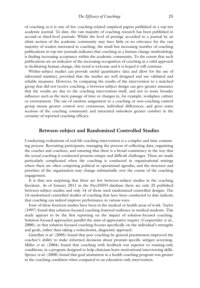of coaching as it is one of few coaching-related empirical papers published in a top-tier academic journal. To date, the vast majority of coaching research has been published in second-or third-level journals. Whilst the level of prestige accorded to a journal by an elitist section of the academic community may have little or no relevance for the vast majority of readers interested in coaching, the small but increasing number of coaching publications in top-tier journals indicates that coaching as a human change methodology is finding increasing acceptance within the academic community. To the extent that such publications are an indicator of the increasing recognition of coaching as a valid approach to facilitating human change, this trend is welcome and it is hoped it will continue.

Within-subject studies can provide useful quantitative data and allow for the use of inferential statistics, provided that the studies are well designed and use validated and reliable measures. However, by comparing the results of the intervention to a matched group that did not receive coaching, a between-subject design can give greater assurance that the results are due to the coaching intervention itself, and not to some broader influence such as the mere passage of time or changes in, for example, workplace culture or environment. The use of random assignment to a coaching or non-coaching control group means greater control over extraneous, individual differences, and gives some sections of the coaching community and interested onlookers greater comfort in the certainty of reported coaching efficacy.

#### **Between-subject and Randomized Controlled Studies**

Conducting evaluations of real-life coaching intervention is a complex and time consuming process. Recruiting participants, managing the process of collecting data, organizing the coaches and coachees, and ensuring that there is a broad consistency in the way that the actual coaching is conducted presents unique and difficult challenges. These are made particularly complicated when the coaching is conducted in organizational settings where there are often competing political or operational agendas, and the structure and priorities of the organization may change substantially over the course of the coaching engagement.

It is thus not surprising that there are few between-subject studies in the coaching literature. As of January 2011 in the PsycINFO database there are only 25 published between-subject studies and only 14 of those used randomized controlled designs. The 14 randomized controlled studies of coaching that have been conducted to date indicate that coaching can indeed improve performance in various ways.

Four of these fourteen studies have been in the medical or health areas of work. Taylor ( 1997 ) found that solution-focused coaching fostered resilience in medical students. This study appears to be the first reporting on the impact of solution-focused coaching. Solution-focused approaches parallel the aims of appreciative inquiry (Cooperrider *et al*., 2000 ), in that solution-focused coaching focuses specifically on the individual's strengths and goals, rather than taking a reductionist, diagnostic approach.

Gattellari *et al.* (2005) found that peer coaching by general practitioners improved the coachee's ability to make informed decisions about prostate-specific antigen screening. Miller *et al.* (2004) found that coaching with feedback was superior to training-only conditions, in a program designed to help clinicians learn motivational interviewing skills. Spence *et al.* (2008) found that goal attainment in a health coaching program was greater in the coaching condition when compared to an education-only intervention.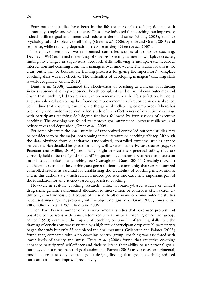Four outcome studies have been in the life (or personal) coaching domain with community samples and with students. These have indicated that coaching can improve or indeed facilitate goal attainment and reduce anxiety and stress (Grant, 2003 ), enhance psychological and subjective well-being (Green *et al*., 2006 ; Spence and Grant, 2007 ) and resilience, while reducing depression, stress, or anxiety (Green *et al*., 2007).

There have been only two randomized controlled studies of workplace coaching. Deviney (1994) examined the efficacy of supervisors acting as internal workplace coaches, finding no changes in supervisors' feedback skills following a multiple-rater feedback intervention and coaching from their managers over nine weeks. The reason for this is not clear, but it may be because the training processes for giving the supervisors' workplace coaching skills was not effective. The difficulties of developing managers' coaching skills is well-recognized (Grant, 2010).

Duijts *et al.* (2008) examined the effectiveness of coaching as a means of reducing sickness absence due to psychosocial health complaints and on well-being outcomes and found that coaching led to significant improvements in health, life satisfaction, burnout, and psychological well-being, but found no improvement in self-reported sickness absence, concluding that coaching can enhance the general well-being of employees. There has been only one randomized controlled study of the effectiveness of executive coaching, with participants receiving 360-degree feedback followed by four sessions of executive coaching. The coaching was found to improve goal attainment, increase resilience, and reduce stress and depression (Grant *et al*., 2009 ).

For some observers the small number of randomized controlled outcome studies may be considered to be the major shortcoming in the literature on coaching efficacy. Although the data obtained from quantitative, randomized, controlled outcome studies cannot provide the rich detailed insights afforded by well-written qualitative case studies (e.g., see Peterson and Millier, 2005 ), and many might contest their practical utility, they are currently held to be the "gold standard" in quantitative outcome research (for discussion on this issue in relation to coaching see Cavanagh and Grant, 2006 ). Certainly there is a considerable section of the coaching and general scientific community that sees randomized controlled studies as essential for establishing the credibility of coaching interventions, and in this author's view such research indeed provides one extremely important part of the foundation for an evidence-based approach to coaching.

However, in real-life coaching research, unlike laboratory-based studies or clinical drug trials, genuine randomized allocation to intervention or control is often extremely difficult, if not impossible. Because of these difficulties many coaching outcome studies have used single group, pre-post, within-subject designs (e.g., Grant 2003 , Jones *et al*., 2006; Olivero et al, 1997; Orenstein, 2006).

There have been a number of quasi-experimental studies that have used pre-test and post-test comparisons with non-randomized allocation to a coaching or control group. Miller (1990) examined the impact of coaching on transfer of training skills, but the drawing of conclusions was restricted by a high rate of participant drop out: 91 participants began the study but only 33 completed the final measures. Gyllensten and Palmer ( 2005 ) found that, compared with a no-coaching control group, coaching was associated with lower levels of anxiety and stress. Evers *et al.* (2006) found that executive coaching enhanced participants' self-efficacy and their beliefs in their ability to set personal goals, but they did not measure actual goal attainment. Barrett ( 2007 ) used a quasi-experimental, modified post-test only control group design, finding that group coaching reduced burnout but did not improve productivity.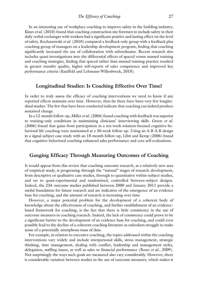In an interesting use of workplace coaching to improve safety in the building industry, Kines *et al.* (2010) found that coaching construction site foremen to include safety in their daily verbal exchanges with workers had a significant positive and lasting effect on the level of safety. Kochanowski *et al*. ( 2010 ) compared a feedback only group with a feedback plus coaching group of managers on a leadership development program, finding that coaching significantly increased the use of collaboration with subordinates. Recent research also includes quasi-investigations into the differential effects of spaced versus massed training and coaching strategies, finding that spaced rather than massed training practice resulted in greater transfer quality, higher self-reports of sales competence and improved key performance criteria (Kauffeld and Lehmann-Willenbrock, 2010).

# **Longitudinal Studies: Is Coaching Effective Over Time?**

In order to truly assess the efficacy of coaching interventions we need to know if any reported effects maintain over time. However, thus far there have been very few longitudinal studies. The few that have been conducted indicate that coaching can indeed produce sustained change.

In a 12-month follow-up, Miller *et al*. ( 2004 ) found coaching with feedback was superior to training-only conditions in maintaining clinicians' interviewing skills. Green *et al*. ( 2006 ) found that gains from participation in a ten-week solution-focused cognitive-behavioral life coaching were maintained at a 30-week follow-up. Using an A-B-A-B design in a signal subject case study with an 18-month follow-up, Libri and Kemp ( 2006 ) found that cognitive-behavioral coaching enhanced sales performance and core self-evaluations.

#### **Gauging Efficacy Through Measuring Outcomes of Coaching**

It would appear from this review that coaching outcome research, as a relatively new area of empirical study, is progressing through the "natural" stages of research development, from descriptive or qualitative case studies, through to quantitative within-subject studies, and on to quasi-experimental and randomized, controlled between-subject designs. Indeed, the 234 outcome studies published between 2000 and January 2011 provide a useful foundation for future research and are indicative of the emergence of an evidence base for coaching, and the amount of research is increasing over time.

However, a major potential problem for the development of a coherent body of knowledge about the effectiveness of coaching, and further establishment of an evidencebased framework for coaching, is the fact that there is little consistency in the use of outcome measures in coaching research. Indeed, the lack of consistency could prove to be a significant barrier to the development of an evidence base for coaching, and could even possibly lead to the decline of a coherent coaching literature as onlookers struggle to make sense of a potentially amorphous mass of data.

For example, in relation to executive coaching, the topics addressed within the coaching interventions vary widely and include interpersonal skills, stress management, strategic thinking, time management, dealing with conflict, leadership and management styles, delegation, staffing issues, as well as sales or financial performance (Bono *et al*., 2009 ). Not surprisingly the ways such goals are measured also vary considerably. However, there is considerable variation between studies in the use of outcome measures, which makes it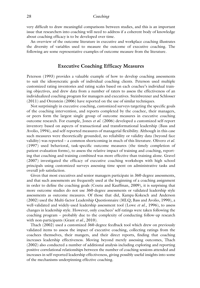very difficult to draw meaningful comparisons between studies, and this is an important issue that researchers into coaching will need to address if a coherent body of knowledge about coaching efficacy is to be developed over time.

An overview of the outcome literature in executive and workplace coaching illustrates the diversity of variables used to measure the outcome of executive coaching. The following are some representative examples of outcome measure from the literature.

#### **Executive Coaching Efficacy Measures**

Peterson (1993) provides a valuable example of how to develop coaching assessments to suit the idiosyncratic goals of individual coaching clients. Peterson used multiple customized rating inventories and rating scales based on each coachee's individual training objectives, and drew data from a number of raters to assess the effectiveness of an individualized coaching program for managers and executives. Steinbrenner and Schlosser (2011) and Orenstein (2006) have reported on the use of similar techniques.

Not surprisingly in executive coaching, customized surveys targeting the specific goals of the coaching intervention, and reports completed by the coachee, their managers, or peers form the largest single group of outcome measures in executive coaching outcome research. For example, Jones *et al*. ( 2006 ) developed a customized self-report inventory based on aspects of transactional and transformational leadership (Bass and Avolio, 1994 ), and self-reported measures of managerial flexibility. Although in this case such measures were theoretically grounded, no reliability or validity data (beyond face validity) was reported – a common shortcoming in much of this literature. Olivero *et al*. ( 1997 ) used behavioral, task-specific outcome measures (the timely completion of patient evaluation forms), to assess the relative impact of training and coaching, reporting that coaching and training combined was more effective than training alone. Gravel (2007) investigated the efficacy of executive coaching workshops with high school principals using customized surveys assessing time spent on administrative tasks and overall job satisfaction.

Given that most executives and senior managers participate in 360-degree assessments, and that such assessments are frequently used at the beginning of a coaching assignment in order to define the coaching goals (Coutu and Kauffman, 2009 ), it is surprising that more outcome studies do not use 360-degree assessments or validated leadership style assessments as outcome measures. Of those that did, Kampa-Kokesch and Anderson (2002) used the Multi-factor Leadership Questionnaire (MLQ; Bass and Avolio, 1990), a well-validated and widely-used leadership assessment tool (Lowe *et al.*, 1996), to assess changes in leadership style. However, only coachees' self-ratings were taken following the coaching program – probably due to the complexity of conducting follow-up research with non-participants (Grant *et al.*, 2010).

Thach (2002) used a customized 360-degree feedback tool which drew on previously validated items to assess the impact of executive coaching, collecting ratings from the coachees themselves, their mangers, and their direct reports, finding that coaching increases leadership effectiveness. Moving beyond merely assessing outcomes, Thach ( 2002 ) also conducted a number of additional analysis including exploring and reporting positive correlational relationships between the number of coaching sessions attended and increases in self-reported leadership effectiveness, giving possibly useful insights into some of the mechanisms underpinning effective coaching.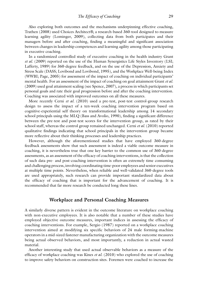Also exploring both outcomes and the mechanisms underpinning effective coaching, Trathen ( 2008 ) used Choices Architect *®*, a research-based 360-tool designed to measure learning agility (Lominger, 2009), collecting data from both participates and their managers before and after coaching, finding a meaningful and significant association between changes in leadership competences and learning agility among those participating in executive coaching.

In a randomized controlled study of executive coaching in the health industry Grant *et al.* (2009) reported on the use of the Human Synergistics Life Styles Inventory (LSI; Lafferty, 1989 ) for 360-degree feedback, and on the use of the Depression, Anxiety and Stress Scale (DASS; Lovibond and Lovibond, 1995 ), and the Workplace Well-being Index (WWBI; Page, 2005 ) for assessment of the impact of coaching on individual participants' mental health. For an assessment of the impact of coaching on goal attainment Grant *et al*. ( 2009 ) used goal attainment scaling (see Spence, 2007 ), a process in which participants set personal goals and rate their goal progression before and after the coaching intervention. Coaching was associated with improved outcomes on all these measures.

More recently Cerni et al. (2010) used a pre-test, post-test control-group research design to assess the impact of a ten-week coaching intervention program based on cognitive-experiential self theory on transformational leadership among 14 secondary school principals using the MLQ (Bass and Avolio, 1990 ), finding a significant difference between the pre-test and post-test scores for the intervention group, as rated by their school staff, whereas the control group remained unchanged. Cerni *et al*. ( 2010 ) reported qualitative findings indicating that school principals in the intervention group became more reflective about their thinking processes and leadership practices.

However, although the aforementioned studies that have employed 360-degree feedback assessments show that such assessment is indeed a viable outcome measure in coaching, it is nevertheless true that one key barrier to the common use of 360-degree assessments, as an assessment of the efficacy of coaching interventions, is that the collection of such data pre- and post-coaching intervention is often an extremely time consuming and challenging process, involving coordinating time-poor employees and senior executives at multiple time points. Nevertheless, when reliable and well-validated 360-degree tools are used appropriately, such research can provide important standardized data about the efficacy of coaching that is important for the advancement of coaching. It is recommended that far more research be conducted long these lines.

#### **Workplace and Personal Coaching Measures**

A similarly diverse pattern is evident in the outcome literature on workplace coaching with non-executive employees. It is also notable that a number of these studies have employed objective outcome measures, important indices in assessing the efficacy of coaching interventions. For example, Sergio ( 1987 ) reported on a workplace coaching intervention aimed at modifying six specific behaviors of 24 male forming-machine operators in a mid-sized fastener manufacturing organization with the outcome measures being actual observed behaviors, and most importantly, a reduction in actual wasted material.

Another interesting study that used actual observable behaviors as a measure of the efficacy of workplace coaching was Kines *et al*. ( 2010 ) who explored the use of coaching to improve safety behaviors on construction sites. Foremen were coached to increase the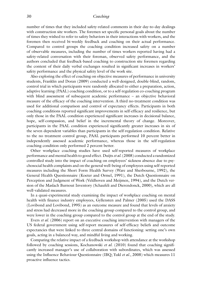number of times that they included safety-related comments in their day-to-day dealings with construction site workers. The foremen set specific personal goals about the number of times they wished to refer to safety behaviors in their interactions with workers, and the foremen then received bi-weekly feedback and coaching on their actual performance. Compared to control groups the coaching condition increased safety on a number of observable measures, including the number of times workers reported having had a safety-related conversation with their foreman, observed safety performance, and the authors concluded that feedback-based coaching to construction site foremen regarding the content of their daily verbal exchanges resulted in significant increases in workers' safety performance and the physical safety level of the work site.

Also exploring the effect of coaching on objective measures of performance in university students, Franklin and Doran (2009) conducted a well-designed, double-blind, random, control trial in which participants were randomly allocated to either a preparation, action, adaptive learning (PAAL) coaching condition, or to a self-regulation co-coaching program with blind assessment of subsequent academic performance – an objective behavioral measure of the efficacy of the coaching intervention. A third no-treatment condition was used for additional comparison and control of expectancy effects. Participants in both coaching conditions reported significant improvements in self-efficacy and resilience, but only those in the PAAL condition experienced significant increases in decisional balance, hope, self-compassion, and belief in the incremental theory of change. Moreover, participants in the PAAL condition experienced significantly greater increases in six of the seven dependent variables than participants in the self-regulation condition. Relative to the no treatment control group, PAAL participants performed 10 percent better in independently assessed academic performance, whereas those in the self-regulation coaching condition only performed 2 percent better.

Other workplace coaching studies have used self-reported measures of workplace performance and mental health to good effect. Duijts *et al*. ( 2008 ) conducted a randomized controlled study into the impact of coaching on employees' sickness absence due to psychosocial health complaints and on the general well-being of employees using self- reported measures including the Short Form Health Survey (Ware and Sherbourne, 1992), the General Health Questionnaire (Koeter and Ormel, 1991 ), the Dutch Questionnaire on Perception and Judgment of Work (Veldhoven and Meijmen, 1994), and the Dutch version of the Maslach Burnout Inventory (Schaufeli and Dierendonck, 2000), which are all well-validated measures.

In a quasi-experimental study examining the impact of workplace coaching on mental health with finance industry employees, Gyllensten and Palmer (2005) used the DASS (Lovibond and Lovibond, 1995) as an outcome measure and found that levels of anxiety and stress had decreased more in the coaching group compared to the control group, and were lower in the coaching group compared to the control group at the end of the study.

Evers *et al.* (2006) report on an executive coaching intervention with managers of the US federal government using self-report measures of self-efficacy beliefs and outcome expectancies that were linked to three central domains of functioning: setting one's own goals, acting in a balanced way, and mindful living and working.

Comparing the relative impact of a feedback workshop with attendance at the workshop followed by coaching sessions, Kochanowski *et al.* (2010) found that coaching significantly increased manager's use of collaboration with subordinates, which was assessed using the Influence Behaviour Questionnaire (IBQ; Yukl *et al*., 2008 ) which measures 11 proactive influence tactics.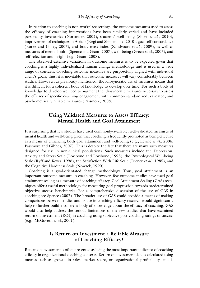In relation to coaching in non-workplace settings, the outcome measures used to assess the efficacy of coaching interventions have been similarly varied and have included personality inventories (Norlander, 2002), students' well-being (Short *et al.*, 2010), improvement of techniques in Aikido (Negi and Shimamline, 2010 ), goal self-concordance (Burke and Linley, 2007 ), and body mass index (Zandvoort *et al*., 2009 ), as well as measures of mental health (Spence and Grant, 2007 ), well-being (Green *et al*., 2007), and self-refection and insight (e.g., Grant, 2008 ).

The observed extensive variations in outcome measures is to be expected given that coaching is a highly individualized human change methodology and is used in a wide range of contexts. Coaching outcome measures are purposefully aligned with individual client's goals; thus, it is inevitable that outcome measures will vary considerably between studies. However, as previously mentioned, the idiosyncratic use of measures means that it is difficult for a coherent body of knowledge to develop over time. For such a body of knowledge to develop we need to augment the idiosyncratic measures necessary to assess the efficacy of specific coaching engagement with common standardized, validated, and psychometrically reliable measures (Passmore, 2008 ).

# **Using Validated Measures to Assess Efficacy: Mental Health and Goal Attainment**

It is surprising that few studies have used commonly-available, well-validated measures of mental health and well-being given that coaching is frequently promoted as being effective as a means of enhancing both goal attainment and well-being (e.g., Levine *et al*., 2006 ; Passmore and Gibbes, 2007). This is despite the fact that there are many such measures designed for use in non-clinical populations. Such measures include the Depression, Anxiety and Stress Scale (Lovibond and Lovibond, 1995 ), the Psychological Well-being Scale (Ryff and Keyes, 1996), the Satisfaction With Life Scale (Diener *et al.*, 1985), and the Cognitive Hardiness Scale (Nowack, 1990).

Coaching is a goal-orientated change methodology. Thus, goal attainment is an important outcome measure in coaching. However, few outcome studies have used goal attainment scaling as a measure of coaching efficacy. Goal Attainment Scaling (GAS) techniques offer a useful methodology for measuring goal progression towards predetermined objective success benchmarks. For a comprehensive discussion of the use of GAS in coaching see Spence ( 2007 ). The broader use of GAS could provide a means of making comparisons between studies and its use in coaching efficacy research would significantly help to further build a coherent body of knowledge about the efficacy of coaching. GAS would also help address the serious limitations of the few studies that have examined return on investment (ROI) in coaching using subjective post-coaching ratings of success (e.g., McGovern *et al*., 2001 ).

# **Is Return on Investment a Reliable Measure of Coaching Efficacy?**

Return on investment is often presented as being the most important indicator of coaching efficacy in organizational coaching contexts. Return on investment data is calculated using metrics such as growth in sales, market share, or organizational profitability, and is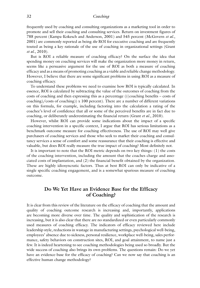frequently used by coaching and consulting organizations as a marketing tool in order to promote and sell their coaching and consulting services. Return on investment figures of 788 percent (Kampa-Kokesch and Anderson, 2001 ) and 545 percent (McGovern *et al*., 2001) are commonly reported as being *the* ROI for executive coaching and are frequently touted as being a key rationale of the use of coaching in organizational settings (Grant *et al*., 2010).

But is ROI a reliable measure of coaching efficacy? On the surface the idea that spending money on coaching services will make the organization more money in return, seems like a persuasive argument for the use of ROI as both a measure of coaching efficacy and as a means of promoting coaching as a viable and reliable change methodology. However, I believe that there are some significant problems in using ROI as a measure of coaching efficacy.

To understand these problems we need to examine how ROI is typically calculated. In essence, ROI is calculated by subtracting the value of the outcomes of coaching from the costs of coaching and then expressing this as a percentage (((coaching benefits – costs of coaching)/costs of coaching)) x 100 percent). There are a number of different variations on this formula, for example, including factoring into the calculation a rating of the coachee's level of confidence that all or some of the perceived benefits are in fact due to coaching, or deliberately underestimating the financial return (Grant *et al.*, 2010).

However, whilst ROI can provide some indications about the impact of a specific coaching intervention in a specific context, I argue that ROI has serious limitations as a benchmark outcome measure for coaching effectiveness. The use of ROI may well give purchasers of coaching services and those who seek to market their coaching and consultancy services a sense of comfort and some reassurance that their coaching is effective and valuable, but does ROI really measure the true impact of coaching? Most definitely not.

It is important to note that the ROI metric depends on two key things: (1) the costs of the coaching intervention, including the amount that the coaches charge and associated costs of implantation, and (2) the financial benefit obtained by the organization. These are highly idiosyncratic factors. Thus at best ROI can only be indicative of a single specific coaching engagement, and is a somewhat spurious measure of coaching outcome.

# **Do We Yet Have an Evidence Base for the Efficacy of Coaching?**

It is clear from this review of the literature on the efficacy of coaching that the amount and quality of coaching outcome research is increasing and, importantly, applications are becoming more diverse over time. The quality and sophistication of the research is increasing, but it is also clear that there are no standardized or even particularly commonly used measures of coaching efficacy. The indicators of efficacy reviewed here include leadership style, reductions in wastage in manufacturing settings, psychological well-being, employees' absence due to sickness, personal resilience, workplace well-being, sales performance, safety behaviors on construction sites, ROI, and goal attainment, to name just a few. It is indeed heartening to see coaching methodologies being used so broadly. But the wide success of coaching also brings its own problems. The questions remain: Do we yet have an evidence-base for the efficacy of coaching? Can we now say that coaching is an effective human change methodology?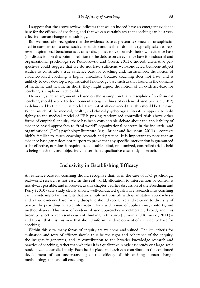I suggest that the above review indicates that we do indeed have an emergent evidence base for the efficacy of coaching, and that we can certainly say that coaching can be a very effective human change methodology.

But we must also recognize that the evidence base at present is somewhat unsophisticated in comparison to areas such as medicine and health – domains typically taken to represent aspirational benchmarks as other disciplines move towards their own evidence base (for discussion on this point in relation to the debate on an evidence base for industrial and organizational psychology see Potworowski and Green, 2011 ). Indeed, alternative perspectives could suggest that we do not have sufficient well-conducted between-subject studies to constitute a true evidence base for coaching and, furthermore, the notion of evidence-based coaching is highly unrealistic because coaching does not have and is unlikely to ever develop a sophisticated knowledge base such as that found in the domains of medicine and health. In short, they might argue, the notion of an evidence-base for coaching is simply not achievable.

However, such an argument is based on the assumption that a discipline of professional coaching should aspire to development along the lines of evidence-based practice (EBP) as delineated by the medical model. I am not at all convinced that this should be the case. Where much of the medical, health, and clinical psychological literature appears to hold tightly to the medical model of EBP, prizing randomized controlled trials above other forms of empirical enquiry, there has been considerable debate about the applicability of evidence based approaches to "real world" organizational contexts in the industrial and organizational  $(I/O)$  psychology literature (e.g., Briner and Rousseau,  $2011$ ) – contexts highly familiar to much coaching research and practice. It is important to note that an evidence base *per se* does not purport to prove that any specific intervention is guaranteed to be effective, nor does it require that a double-blind, randomized, controlled trial is held as being inevitably and objectively better than a qualitative case study approach.

#### **Inclusivity in Establishing Efficacy**

An evidence-base for coaching should recognize that, as in the case of I/O psychology, real-world research is not easy. In the real world, allocation to intervention or control is not always possible, and moreover, as this chapter's earlier discussion of the Freedman and Perry (2010) case study clearly shows, well-conducted qualitative research into coaching can provide important insights that are simply not possible with quantitative approaches – and a true evidence base for any discipline should recognize and respond to diversity of practice by providing reliable information for a wide range of applications, contexts, and methodologies. This view of evidence-based approaches is deliberately broad, and this broad perspective represents current thinking in this area (Cronin and Klimoski, 2011 ) – and I posit that it is this view that should inform the development of an evidence base for coaching.

Within this view many forms of enquiry are welcome and valued. The key criteria for evaluation and tests of efficacy should thus be the rigor and coherence of the enquiry, the insights it generates, and its contribution to the broader knowledge research and practice of coaching, rather than whether it is a qualitative, single case study or a large-scale randomized controlled study. Each has its place and each can contribute to the continued development of our understanding of the efficacy of this exciting human change methodology that we call coaching.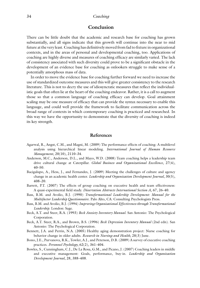# **Conclusion**

There can be little doubt that the academic and research base for coaching has grown substantially, and all signs indicate that this growth will continue into the near to mid future at the very least. Coaching has definitively moved from fad to fixture in organizational contexts, and in the areas of personal and developmental coaching, too. Applications of coaching are highly diverse and measures of coaching efficacy are similarly varied. The lack of consistency associated with such diversity could prove to be a significant obstacle in the development of an evidence base for coaching as onlookers struggle to make sense of a potentially amorphous mass of data.

In order to move the evidence base for coaching further forward we need to increase the use of standardized outcome measures and this will give greater consistency to the research literature. This is not to decry the use of idiosyncratic measures that reflect the individualistic goals that often lie at the heart of the coaching endeavor. Rather, it is a call to augment those so that a common language of coaching efficacy can develop. Goal attainment scaling may be one measure of efficacy that can provide the syntax necessary to enable this language, and could well provide the framework to facilitate communication across the broad range of contexts in which contemporary coaching is practiced and researched. In this way we have the opportunity to demonstrate that the diversity of coaching is indeed its key strength.

#### **References**

- Agarwal, R., Angst, C.M., and Magni, M. (2009) The performance effects of coaching: A multilevel analysis using hierarchical linear modeling. International Journal of Human Resource *Management*, 20(10), 2110-34.
- Anderson, M.C., Anderson, D.L., and Mayo, W.D. (2008) Team coaching helps a leadership team drive cultural change at Caterpillar. *Global Business and Organizational Excellence*, 27(4),  $40 - 50.$
- Bacigalupo, A., Hess, J., and Fernandes, J. (2009) Meeting the challenges of culture and agency change in an academic health center. *Leadership and Organization Development Journal*, 30(5),  $408 - 20.$
- Barrett, P.T. (2007) The effects of group coaching on executive health and team effectiveness: A quasi-experimental field study. *Dissertation Abstracts International Section A*, 67, 26-40.
- Bass, B.M. and Avolio, B.J. (1990) *Transformational Leadership Development: Manual for the Multifactor Leadership Questionnaire*. Palo Alto, CA: Consulting Psychologists Press.
- Bass, B.M. and Avolio, B.J. (1994) *Improving Organisational Effectiveness through Transformational Leadership*. London: Sage.
- Beck, A.T. and Steer, R.A. (1993) *Beck Anxiety Inventory Manual*. San Antonio: The Psychological Corporation.
- Beck, A.T. Steer, R.A., and Brown, B.S. (1996) *Beck Depression Inventory Manual* (2nd edn). San Antonio: The Psychological Corporation.
- Bennett, J.A. and Perrin, N.A. (2005) Healthy aging demonstration project: Nurse coaching for behavior change in older adults. *Research in Nursing and Health*, 28(3) June.
- Bono, J.E., Purvanova, R.K., Towler, A.J., and Peterson, D.B. (2009) A survey of executive coaching practices. *Personnel Psychology*, 62(2), 361-404.
- Bowles, S., Cunningham, C.J., De La Rosa, G.M., and Picano, J. (2007) Coaching leaders in middle and executive management: Goals, performance, buy-in . *Leadership and Organization Development Journal*, 28, 388-408.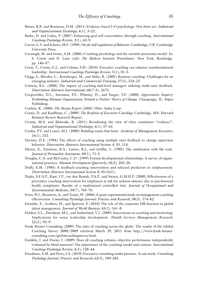- Briner, R.B. and Rousseau, D.M. (2011) Evidence-based I–O psychology: Not there yet. *Industrial* and Organizational Psychology,  $4(1)$ ,  $3-22$ .
- Burke, D. and Linley, P. (2007) Enhancing goal self-concordance through coaching. International *Coaching Psychology Review*, 2(1), 62-9.
- Carver , C.S.and Scheier , M.F.( 1998 ) *On the Self-regulation of Behavior*. Cambridge, UK : Cambridge University Press .
- Cavanagh, M. and Grant, A.M. (2006) Coaching psychology and the scientist-practioner model. In: S. Corrie and D. Lane (eds) *The Modern Scientist Practitioner*. New York: Routledge. pp. 146-57.
- Cerni, T., Curtis, G.J., and Colmar, S.H. (2010) Executive coaching can enhance transformational leadership. *International Coaching Psychology Review*, 5(1), 81-5.
- Clegg, S., Rhodes, C., Kornberger, M., and Stilin, R. (2005) Business coaching: Challenges for an emerging industry. *Industrial and Commercial Training*, 37(5), 218-23.
- Conway, R.L. (2000) The impact of coaching mid-level managers utilizing multi-rater feedback. *Dissertation Abstracts International*, 60(7-A), 2672.
- Cooperrider, D.L., Sorensen, P.F., Whitney, D., and Yaeger, T.F. (2000) *Appreciative Inquiry: Rethinking Human Organization Toward a Positive Theory of Change*. Champaign, IL : Stipes Publishing.
- Corbett, K. (2006) *The Sherpa Report (2006)*. Ohio: Sasha Corp.
- Coutu , D.and Kauffman , C.( 2009 ) *The Realities of Executive Coaching*. Cambridge, MA : Harvard Business Review Research Report.
- Cronin, M.A. and Klimoski, R. (2011) Broadening the view of what constitutes "evidence". *Industrial and Organizational Psychology*,  $4(1)$ ,  $57-61$ .
- Cunha, P.V. and Louro, M.J. (2000) Building teams that learn. *Academy of Management Executive*,  $14(1)$ , 152.
- Deviney, D.E. (1994) The effects of coaching using mulitple rater feedback to change supervisor behavior . *Dissertation Abstracts International Section A*, 55 , 114 .
- Diener, E., Emmons, R.A., Larsen, R.J., and Griffin, S. (1985) The satisfaction with life scale. *Journal of Personality Assessment*, 49(1), 71–5.
- Douglas, C.A. and McCauley, C.D. (1999) Formal developmental relationships: A survey of organizational practices. *Human Development Quarterly*, 10(3), 203-20.
- Duffy, E.M. (1984) A feedback-coaching intervention and selected predictors in outplacement. *Dissertation Abstracts International Section B*, 45(1611).
- Duijts, S.F.A.P., Kant, I.P., van den Brandt, P.A.P., and Swaen, G.M.H.P. (2008) Effectiveness of a preventive coaching intervention for employees at risk for sickness absence due to psychosocial health complaints: Results of a randomized controlled trial . *Journal of Occupational and Environmental Medicine*, 50(7), 765-76.
- Evers , W.J. , Brouwers , A. , and Tomic , W.( 2006 ) A quasi-experimental study on management coaching effectiveness. *Consulting Psychology Journal: Practice and Research*, 58(3), 174–82.
- Farndale, E., Scullion, H., and Sparrow, P. (2010) The role of the corporate HR function in global talent management. *Journal of World Business*, 45(2), 161–8.
- Fielden, S.L., Davidson, M.J., and Sutherland, V.J. (2009) Innovations in coaching and mentoring: Implications for nurse leadership development . *Health Services Management Research*,  $22(2)$ , 92-9.
- Frank Bresser Consulting (2009) The state of coaching across the globe: The results of the Global Coaching Survey 2008/2009 retreived March 29, 2011 from http://www.frank-bresserconsulting.com/globalcoachingsurvey.html .
- Franklin, J. and Doran, J. (2009) Does all coaching enhance objective performance independently evaluated by blind assessors? The importance of the coaching model and content . *International Coaching Psychology Review*, 4(2), 128-44.
- Freedman , A.M.and Perry , J.A.( 2010 ) Executive consulting under pressure: A case study . *Consulting Psychology Journal: Practice and Research*, 62(3), 189-202.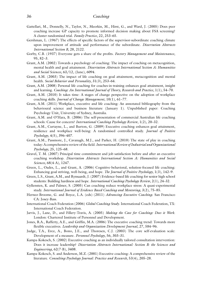- Gattellari, M., Donnelly, N., Taylor, N., Meerkin, M., Hirst, G., and Ward, J. (2005) Does peer coaching increase GP capacity to promote informed decision making about FSA screening? A cluster randomised trial. Family Practice, 22, 253-65.
- Gershman, L. (1967) The effects of specific factors of the supervisor-subordinate coaching climate upon improvement of attitude and performance of the subordinate . *Dissertation Abstracts International Section B*, 28, 2122.
- Gorby , C.B.( 1937 ) Everyone gets a share of the profits . *Factory Management and Maintenance*,  $95, 82 - 3.$
- Grant, A.M. (2002) Towards a psychology of coaching: The impact of coaching on metacognition, mental health and goal attainment. *Dissertation Abstracts International Section A: Humanities and Social Sciences*, 63 / 12 , (June), 6094 .
- Grant, A.M. (2003) The impact of life coaching on goal attainment, metacognition and mental health. *Social Behavior and Personality*, 31(3), 253-64.
- Grant, A.M. (2008) Personal life coaching for coaches-in-training enhances goal attainment, insight and learning. *Coaching: An International Journal of Theory, Research and Practice*, 1(1), 54-70.
- Grant, A.M. (2010) It takes time: A stages of change perspective on the adoption of workplace coaching skills. *Journal of Change Management*,  $10(1)$ , 61-77.
- Grant, A.M. (2011) Workplace, executive and life coaching: An annotated bibliography from the behavioural science and business literature(January 1). Unpublished paper: Coaching Psychology Unit, University of Sydney, Australia.
- Grant, A.M. and O'Hara, B. (2006) The self-presentation of commercial Australian life coaching schools: Cause for concern? *International Coaching Psychology Review*, 1(2), 20–32.
- Grant, A.M., Curtayne, L., and Burton, G. (2009) Executive coaching enhances goal attainment, resilience and workplace well-being: A randomised controlled study . *Journal of Positive*  Psychology, 4(5), 396-407.
- Grant, A.M., Passmore, J., Cavanagh, M.J., and Parker, H. (2010) The state of play in coaching today: A comprehensive review of the field . *International Review of Industrial and Organisational Psychology*, 25, 125-68.
- Gravel, T. M. (2007) Principal time commitment and job satisfaction before and after an executive coaching workshop . *Dissertation Abstracts International Section A: Humanities and Social Sciences*, 68(4-A), 1247.
- Green, L., Oades, L., and Grant, A. (2006) Cognitive-behavioral, solution-focused life coaching: Enhancing goal striving, well-being, and hope. *The Journal of Positive Psychology*, 1(3), 142–9.
- Green, L.S., Grant, A.M., and Rynsaardt, J. (2007) Evidence-based life coaching for senior high school students: Building hardiness and hope. *International Coaching Psychology Review*, 2(1), 24–32.
- Gyllensten, K. and Palmer, S. (2005) Can coaching reduce workplace stress: A quasi-experimental study. International Journal of Evidence Based Coaching and Mentoring, 3(2), 75-85.
- Hernez-Broome, G. and Boyce, L.A. (eds) (2011) *Advancing Executive Coaching*. San Francisco CA: Josey-Bass.
- International Coach Federation( 2006 ) *Global Coaching Study*. International Coach Federation, TX : International Coach Federation.
- Jarvis, J., Lane, D., and Fillery-Travis, A. (2005) *Making the Case for Coaching: Does it Work*. London: Chartered Institute of Personnel and Development.
- Jones, R.A., Rafferty, A.E., and Griffin, M.A. (2006) The executive coaching trend: Towards more flexible executives. *Leadership and Organization Development Journal*, 27, 584-96.
- Judge, T.A., Erez, A., Bono, J.E., and Thoresen, C.J. (2003) The core self-evaluation scale: Development of a measure. *Personnel Psychology*, 56, 303-31.
- Kampa-Kokesch, S. (2002) Executive coaching as an individually tailored consultation intervention: Does it increase leadership? *Dissertation Abstracts International: Section B: the Sciences and Engineering*, 62(7-B), 3408.
- Kampa-Kokesch, S. and Anderson, M.Z. (2001) Executive coaching: A comprehensive review of the literature. *Consulting Psychology Journal: Practice and Research*, 53(4), 205-28.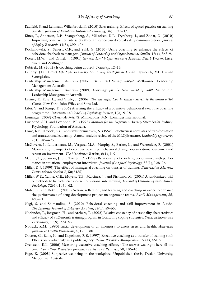- Kauffeld, S. and Lehmann-Willenbrock, N. (2010) Sales training: Effects of spaced practice on training transfer. *Journal of European Industrial Training*, 34(1), 23-37.
- Kines, P., Andersen, L.P., Spangenberg, S., Mikkelsen, K.L., Dyreborg, J., and Zohar, D. (2010) Improving construction site safety through leader-based verbal safety communication . *Journal*  of Safety Research,  $41(5)$ , 399-406.
- Kochanowski, S., Seifert, C.F., and Yukl, G. (2010) Using coaching to enhance the effects of behavioral feedback to managers. *Journal of Leadership and Organizational Studies*, 17(4), 363–9.
- Koeter, M.W.J. and Ormel, J. (1991) *General Health Ouestionnaire Manual, Dutch Version*. Lisse: Swete and Zeitlinger.
- Kubicek, M. (2002) Is coaching being abused? *Training*, 12–14.
- Lafferty, J.C. (1989) *Life Style Inventory LSI 1: Self-development Guide*. Plymouth, MI: Human Synergistics .
- Leadership Management Australia (2006) *The LEAD Survey 2005/6*. Melbourne: Leadership Management Australia.
- Leadership Management Australia (2009) *Learnings for the New World of 2009*. Melbourne: Leadership Management Australia.
- Levine, T., Kase, L., and Vitale, J. (2006) *The Successful Coach: Insider Secrets to Becoming a Top* Coach. New York: John Wiley and Sons Ltd.
- Libri, V. and Kemp, T. (2006) Assessing the efficacy of a cognitive behavioural executive coaching programme. *International Coaching Psychology Review*, 1(2), 9-18.
- Lominger (2009) *Choices Architect®*. Minneapolis, MN: Lominger International.
- Lovibond, S.H. and Lovibond, P.F. (1995) *Manual for the Depression Anxiety Stress Scales*. Sydney: Psychology Foundation of Australia.
- Lowe, K.B., Kroeck, K.G., and Sivasubramaniam, N. (1996) Effectiveness correlates of transformation and transactional leadership: A meta-analytic review of the MLQ literature . *Leadership Quarterly*,  $7(3)$ , 385-425.
- McGovern, J., Lindermann, M., Vergara, M.A., Murphy, S., Barker, L., and Warrenfelz, R. (2001) Maximizing the impact of executive coaching: Behavioral change, organizational outcomes and return on investment. *The Manchester Review*, 6(1), 1-9.
- Maurer, T., Solamon, J., and Troxtel, D. (1998) Relationship of coaching performance with performance in situational employment interviews. *Journal of Applied Psychology*, 83(1), 128-36.
- Miller, D.J. (1990) The effect of managerial coaching on transfer of training. *Dissertation Abstracts International Section B*,  $50(2435)$ .
- Miller, W.R., Yahne, C.E., Moyers, T.B., Martinez, J., and Pirritano, M. (2004) A randomized trial of methods to help clinicians learn motivational interviewing . *Journal of Consulting and Clinical Psychology*, 72(6), 1050–62.
- Mulec, K. and Roth, J. (2005) Action, reflection, and learning and coaching in order to enhance the performance of drug development project management teams. *R&D Management*, 35, 483-91.
- Negi, S. and Shimamline, S. (2010) Behavioral coaching and skill improvement in Aikido. *The Japanese Journal of Behavior Analysis*, 24(1), 59–65.
- Norlander, T., Bergman, H., and Archers, T. (2002) Relative constancy of personality characteristics and efficacy of a 12-month training program in facilitating coping strategies . *Social Behavior and Personality*, 30(8), 773-83.
- Nowack , K.M.( 1990 ) Initial development of an inventory to assess stress and health . *American Journal of Health Promotion*, 4, 173-180.
- Olivero, G., Bane, K., and Kopelman, R.E. (1997) Executive coaching as a transfer of training tool: Effects on productivity in a public agency. *Public Personnel Management*, 26(4), 461–9.
- Orenstein , R.L.( 2006 ) Measuring executive coaching efficacy? The answer was right here all the time. *Consulting Psychology Journal: Practice and Research*, 58, 106-16.
- Page, K. (2005) Subjective wellbeing in the workplace. Unpublished thesis, Deakin University, Melbourne, Australia.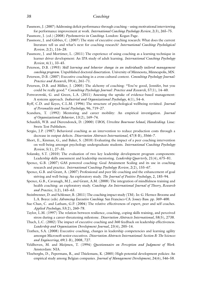Passmore , J.( 2007 ) Addressing deficit performance through coaching – using motivational interviewing for performance improvement at work. *International Coaching Psychology Review*, 2(3), 265–75.

- Passmore, J. and Gibbes, C. (2007) The state of executive coaching research: What does the current literature tell us and what's next for coaching research? *International Coaching Psychological Review*, 2(2), 116-28.
- Passmore, J. and Mortimer, L. (2011) The experience of using coaching as a learning technique in learner driver development: An IPA study of adult learning. *International Coaching Psychology*  $Review, 6(1), 33–45.$
- Peterson, D.B. (1993) *Skill learning and behavior change in an individually tailored management coaching program*. Unpublished doctoral dissertation. University of Minnesota, Minneapolis, MN.
- Peterson, D.B. (2007) Executive coaching in a cross-cultural context. *Consulting Psychology Journal: Practice and Research*, 59(4), 261–71.
- Peterson, D.B. and Millier, J. (2005) The alchemy of coaching: "You're good, Jennifer, but you could be really good." *Consulting Psychology Journal: Practice and Research*, 57(1), 14-40.
- Potworowski, G. and Green, L.A. (2011) Assessing the uptake of evidence-based management: A systems approach. *Industrial and Organizational Psychology*,  $4(1)$ , 54–6.
- Ryff, C.D. and Keyes, C.L.M. (1996) The structure of psychological wellbeing revisited. *Journal* of Personality and Social Psychology, 96, 719-27.
- Scandura, T. (1992) Mentoring and career mobility: An empirical investigation. *Journal* of Organizational Behavior, 13(2), 169-74.
- Schaufeli, W.B. and Dierendonck, D. (2000) *UBOS, Utrechtse Bournout Schaal, Handeiding*. Lisse: Swets Test Publishers.
- Sergio, J.P. (1987) Behavioral coaching as an intervention to reduce production costs through a decrease in output defects. *Dissertation Abstracts International*, 47(8-B), 3566–7.
- Short, E., Kinman, G., and Baker, S. (2010) Evaluating the impact of a peer coaching intervention on well-being amongst psychology undergraduate students . *International Coaching Psychology Review*, 5(1), 27-35.
- Solansky, S.T. (2010) The evaluation of two key leadership development program components: Leadership skills assessment and leadership mentoring. *Leadership Quarterly*, 21(4), 675-81.
- Spence, G.B. (2007) GAS powered coaching: Goal Attainment Scaling and its use in coaching research and practice. *International Coaching Psychology Review*, 2(2), 155-67.
- Spence, G.B. and Grant, A. (2007) Professional and peer life coaching and the enhancement of goal striving and well-being: An exploratory study. *The Journal of Positive Psychology*, 2, 185-94.
- Spence, G.B., Cavanagh, M.J., and Grant, A.M. (2008) The integration of mindfulness training and health coaching: an exploratory study. *Coaching: An International Journal of Theory*, Research and Practice, 1(2), 145-63.
- Steinbrenner, D. and Schlosser, B. (2011) The coaching impact study (TM). In: G. Hernez-Broome and L.A. Boyce (eds) *Advancing Executive Coaching*. San Francisco CA: Jossey-Bass. pp. 369–400.
- Sue-Chan, C. and Latham, G.P. (2004) The relative effectiveness of expert, peer and self coaches. *Applied Psychology*, 53(2), 260–78.
- Taylor, L.M. (1997) The relation between resilience, coaching, coping skills training, and perceived stress during a career-threatening milestone. *Dissertation Abstracts International*, 58(5), 2738.
- Thach, L.C. (2002) The impact of executive coaching and 360 feedback on leadership effectiveness. Leadership and Organization Development Journal, 23(4), 205-14.
- Trathen, S.A. (2008) Executive coaching, changes in leadership competencies and learning agility amongst Microsoft senior executives . *Dissertation Abstracts International: Section B: The Sciences*  and Engineering, 69(1-B), 2008, 727.
- Veldhoven, M. and Meijmen, T. (1994) *Questionnaire on Perception and Judgment of Work*. Amsterdam: NIA.
- Vloeberghs , D. , Pepermans , R. , and Thielemans , K.( 2005 ) High-potential development policies: An empirical study among Belgian companies. *Journal of Management Development*, 24(6), 546–58.

Passmore, J. (ed.) (2008) *Psychometrics in Coaching*. London: Kogan Page.